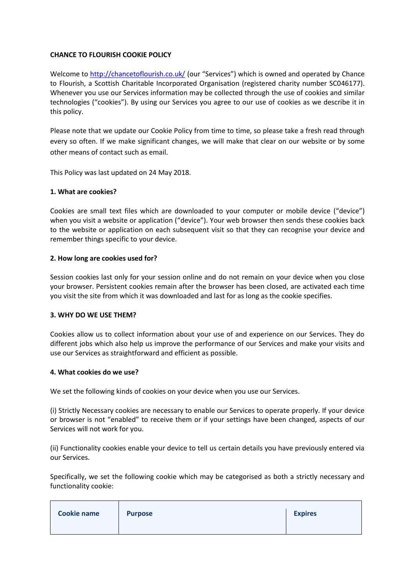## **CHANCE TO FLOURISH COOKIE POLICY**

Welcome to<http://chancetoflourish.co.uk/> (our "Services") which is owned and operated by Chance to Flourish, a Scottish Charitable Incorporated Organisation (registered charity number SC046177). Whenever you use our Services information may be collected through the use of cookies and similar technologies ("cookies"). By using our Services you agree to our use of cookies as we describe it in this policy.

Please note that we update our Cookie Policy from time to time, so please take a fresh read through every so often. If we make significant changes, we will make that clear on our website or by some other means of contact such as email.

This Policy was last updated on 24 May 2018.

## **1. What are cookies?**

Cookies are small text files which are downloaded to your computer or mobile device ("device") when you visit a website or application ("device"). Your web browser then sends these cookies back to the website or application on each subsequent visit so that they can recognise your device and remember things specific to your device.

## **2. How long are cookies used for?**

Session cookies last only for your session online and do not remain on your device when you close your browser. Persistent cookies remain after the browser has been closed, are activated each time you visit the site from which it was downloaded and last for as long as the cookie specifies.

# **3. WHY DO WE USE THEM?**

Cookies allow us to collect information about your use of and experience on our Services. They do different jobs which also help us improve the performance of our Services and make your visits and use our Services as straightforward and efficient as possible.

#### **4. What cookies do we use?**

We set the following kinds of cookies on your device when you use our Services.

(i) Strictly Necessary cookies are necessary to enable our Services to operate properly. If your device or browser is not "enabled" to receive them or if your settings have been changed, aspects of our Services will not work for you.

(ii) Functionality cookies enable your device to tell us certain details you have previously entered via our Services.

Specifically, we set the following cookie which may be categorised as both a strictly necessary and functionality cookie:

| <b>Cookie name</b> | <b>Purpose</b> | <b>Expires</b> |
|--------------------|----------------|----------------|
|                    |                |                |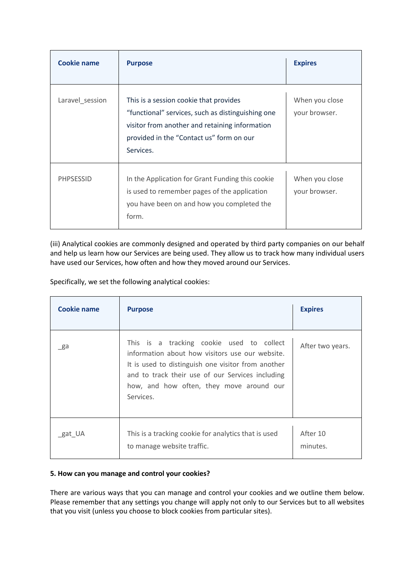| <b>Cookie name</b> | <b>Purpose</b>                                                                                                                                                                                         | <b>Expires</b>                  |
|--------------------|--------------------------------------------------------------------------------------------------------------------------------------------------------------------------------------------------------|---------------------------------|
| Laravel_session    | This is a session cookie that provides<br>"functional" services, such as distinguishing one<br>visitor from another and retaining information<br>provided in the "Contact us" form on our<br>Services. | When you close<br>your browser. |
| <b>PHPSESSID</b>   | In the Application for Grant Funding this cookie<br>is used to remember pages of the application<br>you have been on and how you completed the<br>form.                                                | When you close<br>your browser. |

(iii) Analytical cookies are commonly designed and operated by third party companies on our behalf and help us learn how our Services are being used. They allow us to track how many individual users have used our Services, how often and how they moved around our Services.

Specifically, we set the following analytical cookies:

| Cookie name | <b>Purpose</b>                                                                                                                                                                                                                                                  | <b>Expires</b>       |
|-------------|-----------------------------------------------------------------------------------------------------------------------------------------------------------------------------------------------------------------------------------------------------------------|----------------------|
| _ga         | This is a tracking cookie used to collect<br>information about how visitors use our website.<br>It is used to distinguish one visitor from another<br>and to track their use of our Services including<br>how, and how often, they move around our<br>Services. | After two years.     |
| gat UA      | This is a tracking cookie for analytics that is used<br>to manage website traffic.                                                                                                                                                                              | After 10<br>minutes. |

# **5. How can you manage and control your cookies?**

There are various ways that you can manage and control your cookies and we outline them below. Please remember that any settings you change will apply not only to our Services but to all websites that you visit (unless you choose to block cookies from particular sites).